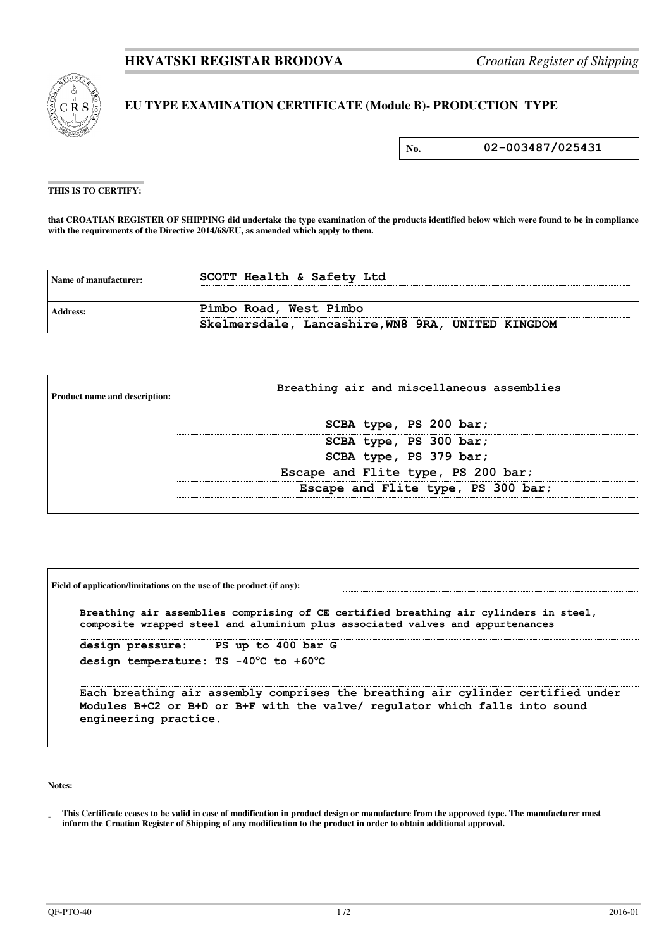

## **EU TYPE EXAMINATION CERTIFICATE (Module B)- PRODUCTION TYPE**

**No. 02-003487/025431**

## **THIS IS TO CERTIFY:**

**that CROATIAN REGISTER OF SHIPPING did undertake the type examination of the products identified below which were found to be in compliance**  with the requirements of the Directive 2014/68/EU, as amended which apply to them.

| Name of manufacturer: | SCOTT Health & Safety Ltd                         |
|-----------------------|---------------------------------------------------|
| Address:              | Pimbo Road, West Pimbo                            |
|                       | Skelmersdale, Lancashire, WN8 9RA, UNITED KINGDOM |

| <b>Product name and description:</b> | Breathing air and miscellaneous assemblies |  |  |
|--------------------------------------|--------------------------------------------|--|--|
|                                      | SCBA type, PS 200 bar;                     |  |  |
|                                      | SCBA type, PS 300 bar;                     |  |  |
|                                      | SCBA type, PS 379 bar;                     |  |  |
|                                      | Escape and Flite type, PS 200 bar;         |  |  |
|                                      | Escape and Flite type, PS 300 bar;         |  |  |
|                                      |                                            |  |  |

| Breathing air assemblies comprising of CE certified breathing air cylinders in steel,<br>composite wrapped steel and aluminium plus associated valves and appurtenances |                       |                                                                                                                                                                 |  |  |
|-------------------------------------------------------------------------------------------------------------------------------------------------------------------------|-----------------------|-----------------------------------------------------------------------------------------------------------------------------------------------------------------|--|--|
|                                                                                                                                                                         |                       | design pressure: PS up to 400 bar G                                                                                                                             |  |  |
|                                                                                                                                                                         |                       | design temperature: TS -40°C to +60°C                                                                                                                           |  |  |
|                                                                                                                                                                         | engineering practice. | Each breathing air assembly comprises the breathing air cylinder certified under<br>Modules B+C2 or B+D or B+F with the valve/ regulator which falls into sound |  |  |

**Notes:** 

**<sup>-</sup>  This Certificate ceases to be valid in case of modification in product design or manufacture from the approved type. The manufacturer must inform the Croatian Register of Shipping of any modification to the product in order to obtain additional approval.**